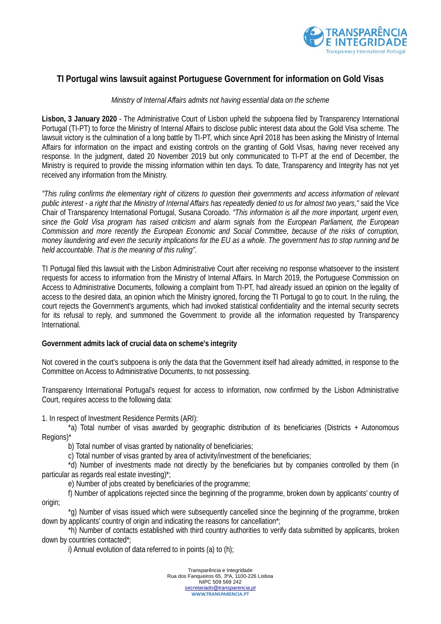

## **TI Portugal wins lawsuit against Portuguese Government for information on Gold Visas**

## *Ministry of Internal Affairs admits not having essential data on the scheme*

**Lisbon, 3 January 2020** - The Administrative Court of Lisbon upheld the subpoena filed by Transparency International Portugal (TI-PT) to force the Ministry of Internal Affairs to disclose public interest data about the Gold Visa scheme. The lawsuit victory is the culmination of a long battle by TI-PT, which since April 2018 has been asking the Ministry of Internal Affairs for information on the impact and existing controls on the granting of Gold Visas, having never received any response. In the judgment, dated 20 November 2019 but only communicated to TI-PT at the end of December, the Ministry is required to provide the missing information within ten days. To date, Transparency and Integrity has not yet received any information from the Ministry.

*"This ruling confirms the elementary right of citizens to question their governments and access information of relevant public interest - a right that the Ministry of Internal Affairs has repeatedly denied to us for almost two years,"* said the Vice Chair of Transparency International Portugal, Susana Coroado. *"This information is all the more important, urgent even, since the Gold Visa program has raised criticism and alarm signals from the European Parliament, the European Commission and more recently the European Economic and Social Committee, because of the risks of corruption, money laundering and even the security implications for the EU as a whole. The government has to stop running and be held accountable. That is the meaning of this ruling"*.

TI Portugal filed this lawsuit with the Lisbon Administrative Court after receiving no response whatsoever to the insistent requests for access to information from the Ministry of Internal Affairs. In March 2019, the Portuguese Commission on Access to Administrative Documents, following a complaint from TI-PT, had already issued an opinion on the legality of access to the desired data, an opinion which the Ministry ignored, forcing the TI Portugal to go to court. In the ruling, the court rejects the Government's arguments, which had invoked statistical confidentiality and the internal security secrets for its refusal to reply, and summoned the Government to provide all the information requested by Transparency International.

## **Government admits lack of crucial data on scheme's integrity**

Not covered in the court's subpoena is only the data that the Government itself had already admitted, in response to the Committee on Access to Administrative Documents, to not possessing.

Transparency International Portugal's request for access to information, now confirmed by the Lisbon Administrative Court, requires access to the following data:

1. In respect of Investment Residence Permits (ARI):

\*a) Total number of visas awarded by geographic distribution of its beneficiaries (Districts + Autonomous Regions)<sup>\*</sup>

b) Total number of visas granted by nationality of beneficiaries;

c) Total number of visas granted by area of activity/investment of the beneficiaries;

\*d) Number of investments made not directly by the beneficiaries but by companies controlled by them (in particular as regards real estate investing)\*;

e) Number of jobs created by beneficiaries of the programme;

f) Number of applications rejected since the beginning of the programme, broken down by applicants' country of origin;

\*g) Number of visas issued which were subsequently cancelled since the beginning of the programme, broken down by applicants' country of origin and indicating the reasons for cancellation\*;

\*h) Number of contacts established with third country authorities to verify data submitted by applicants, broken down by countries contacted\*;

i) Annual evolution of data referred to in points (a) to (h);